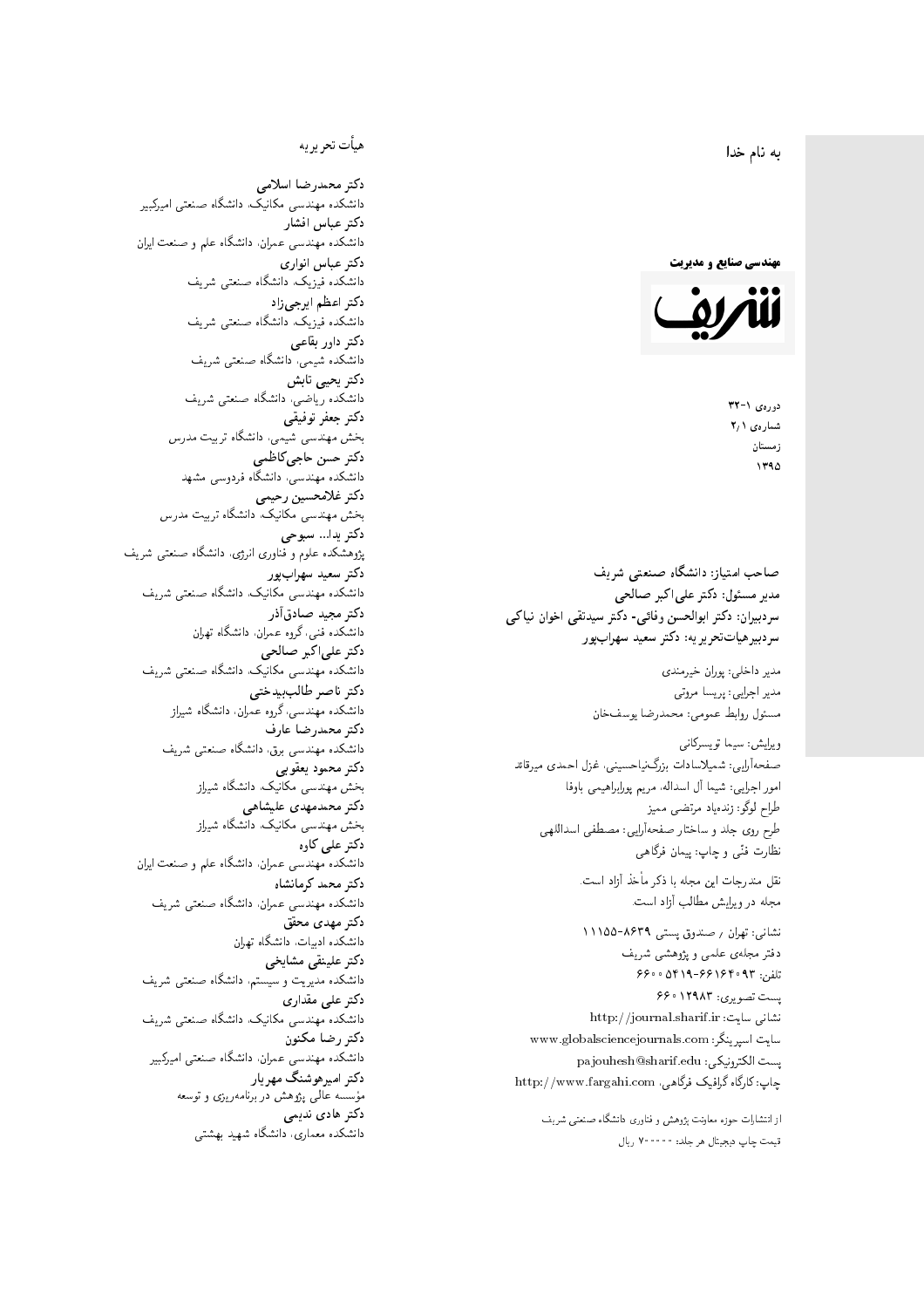$\overline{\phantom{a}}$ ز<br>ن به نام خدا .<br>.

**مهندسی صنایع و مدیریت** 



دورەي ١-٣٢ شمارەي ۲٫۱ زمستان 1790

مدیر مسئول: دکتر علیاکبر صالحی  $\mathfrak{c}$ سردبیران: دکتر ابوالحسن وفائی- دکتر سیدنقی اخوان نیاکی سردبیرهیاتتحریر یه: دکتر سعید سهرابپر

> مدير داخلى: پوران خيرمندى<br>. مدير اجرايي: پريسا مروتي<br>. مسئول روابط عمومی: محمدرضا يوسفخان<br>.

ويرايش: سيما تويسركان<sub>ى</sub><br>مىسى<sup>تى</sup>ل : شمیلاسادات بزرگ:یاحسینی، غزل احمدی میرقائد<br>مسلسله امور اجرایی: شیما آل اسداله، مریم پورابراهیمی باوفا طراح لوگو: زندهیاد مرتضمی ممیز<br>ا طرح روی جلد و ساختار صفحهآرایی: مصطفی اسداللهی<br>پیللمستقب نظارت فٽ<sub>ی</sub> و چاپ: پيمان فرگاه<sub>ی</sub><br>.

نقل مندرجات این مجله با ذکر مأخذ آزاد است.<br>مجله در ویرایش مطالب آزاد است.

نشانی: تهران / ۸۶۳۹–۱۱۱۵۵ دفتر مجلهى علمى و پژوهشى شريف 56000194196969 + 196000 ست تصویری: ۱۲۹۸۳ ۶۶۰ نشانی سایت: http://journal.sharif.ir<br>ء سایت اسپرینگر: www.globalsciencejournals.com<br>افکار کافی کے مطابق کافیل کے مطابق کافیل کے مطابق کافیل کے مطابق کافیل کرنا pajouhesh@sharif.edu :يست الكترونيكي http://www.fargahi.com ،ياب: كارگاه گرافيک فرگاهي ضاحب أمتياز: دانشگاه صنعتي شريف<br>مدر مسئول: دكتر على اكبر صناحتي شريف<br>مدر مسئول: دكتر على اكبر صناحتي<br>سردبيرهيان: دكتر ابوالحسن وفاقي- دكتر سه<br>مدير اجرايي: پريسا مروتي<br>مدر اجرايي: سيما تريسكان وسائيس مدر ابوالحسن<br>صنعار اير

از انتشارات حوزه معاونت پژوهش و فناوری دانشگاه صنعتی شریف<br>قیمت جاب دیجیتال هر جلد: ۷۰۰۰۰۰ ریال

### هيأت تحريريه

دكتر محمدرضا اسلامى مکانیک، دانشگاه صنعتی امیرکبیر<br>. دكتر عباس افشار دانشکده مهندسی عمران، دانشگاه علم و صنعت ایران<br>بحمد مصلحات دكتر عباس انوارى دانشکده فیزیک، دانشگاه صنعتبی شریف<br>محمد استانسا دکتر اعظم ايرجى زاد ، دانشگاه صنعتبی شریف<br>. دکتر داور بقاع**ی** دانشکده شیمی، دانشگاه صنعتی شریف<br>دکتر یحیی تابش دانشکده ریاضی، دانشگاه صنعتی شریف<br>برمسمنستانستان دكتر جعفر توفيقي بخش مهندسی شیمی، دانشگاه تربیت مدرس<br>سم دكتر حسن حاجىكاظمي دانشکده مهندسی، دانشگاه فردوسی مشهد<br>کترخان دكتر غلامحسين رحيمي هندسی مکانیک، دانشگاه تربیت مدرس<br>ا دکتر یدا... سبوحی یژوهشکده علوم و فناوری انرژی، دانشگاه صنعتی شریف دکتر سعید سهرابپور<br>دانشکده مهندسی مکانیک، دانشگاه صنعتی شریف دکتر مجيد صادقاذر ا<br>. دانشکده فنی، گروه عمران، دانشگاه تهران دکتر علیاکبر صالحی = دانشکده مهندسی مکانیک، دانشگاه صنعتی شریف<br>یکستا دکتر ناصر طالب بیدختی r  $\mathfrak{c}$ دانشکده مهندسی، گروه عمران، دانشگاه شیراز<br>مکتب مصدر مقبل علم دكتر محمدرضا عارف دانشکده مهندسی برق، دانشگاه صنعتی شریف<br><mark>دکتر محمود یعقوبی</mark> هندسی مکانیک، دانشگاه شیراز<br>مسدوده مصلوفیاه دکتر محمدمهدی علیشاهی بخش مهندسی مکانیک، دانشگاه شیراز<br>مکتبهای کابی دکتر علی کاوہ دانشکده مهندسی عمران، دانشگاه علم و صنعت ایران<br>بحت دکتر محمد کرمانشاه .<br>. دانشکده مهندسی عمران، دانشگاه صنعتی شریف<br>مکتبر دولت مستق دکتر مهد*ی* محقق دانشکده ادبیات، دانشگاه تهران دکتر علینقی مشایخ<u>ی</u> دانشکده مدیریت و سیستم، دانشگاه صنعتبی شریف<br>محمد باست دکتر علی مقداری دانشکده مهندسی مکانیک، دانشگاه صنعتی شریف<br><mark>دکتر رضا مکنون</mark> دانشکده مهندسی عمران. دانشگاه صنعتی امیرکبیر<br>محمد است میگ دکتر امیرهوشنگ مهریار سسه عالمی پژوهش در برنامهریزی و توسعه<br>''' ۱۰۰۰ میلید ءُ<br>ك م<br>. دکتر هادی ندیمی  $\overline{a}$ م تشا<br>يتمكن المسلم المسلم المسلم المسلم المسلم المسلم المسلم المسلم المسلم المسلم المسلم المسلم المسلم المسلم المسلم<br>المسلم المسلم المسلم المسلم المسلم المسلم المسلم المسلم المسلم المسلم المسلم المسلم المسلم المسلم المسلم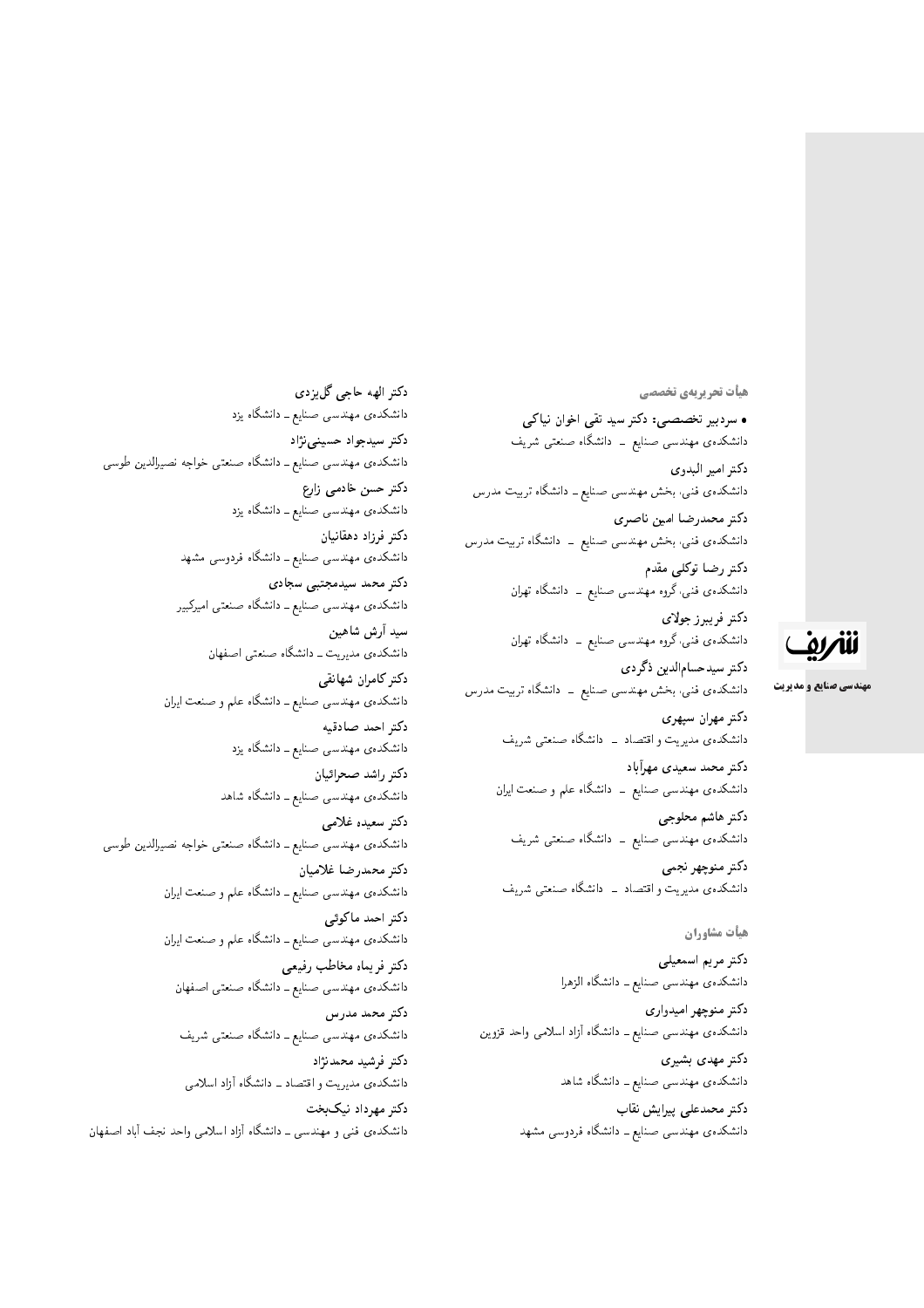هيأت تحريريهي تخصصي

• سردبیر تخصصی: دکتر سید تقی اخوان نیاکی دانشکدهی مهندسی صنایع ــ دانشگاه صنعتی شریف دكتر امير البدوى دانشکدهی فنبی، بخش مهندسی صنایع ــ دانشگاه تربیت مدرس دكتر محمدرضا امين ناصري دانشکدهی فنی، بخش مهندسی صنایع ــ دانشگاه تربیت مدرس دکتر رضا توکلی مقدم دانشکدهی فنبی،گروه مهندسی صنایع ــ دانشگاه تهران

> دكتر فريبرز جولاي دانشکدهی فنبی،گروه مهندسی صنایع ــ دانشگاه تهران

دكتر سيدحسامالدين ذگردي دانشکدهی فنی، بخش مهندسی صنایع ــ دانشگاه تربیت مدرس

> دكتر مهران سپهري دانشکدهی مدیریت و اقتصاد \_ دانشگاه صنعتبی شریف

> دكتر محمد سعيدى مهرأباد دانشکدهی مهندسی صنایع ــ دانشگاه علم و صنعت ایران

دكتر هاشم محلوجي دانشکدهی مهندسی صنایع ــ دانشگاه صنعتی شریف

دكتر منوچهر نجمي دانشکدهی مدیریت و اقتصاد \_ دانشگاه صنعتبی شریف

هيأت مشاوران

دكتر مريم اسمعيلي دانشکدهی مهندسی صنایع ــ دانشگاه الزهرا

دكتر منوچهر اميدواري دانشکدهی مهندسی صنایع ــ دانشگاه آزاد اسلامی واحد قزوین

> دكتر مهدى بشيرى دانشکدهی مهندسی صنایع ــ دانشگاه شاهد

دکتر محمدعلی پیرایش نقاب دانشکدهی مهندسی صنایع ــ دانشگاه فردوسی مشهد

دكتر الهه حاجي گليزدي دانشکدهی مهندسی صنایع ــ دانشگاه یزد دکتر سیدجواد حسینی نژاد دانشکدهی مهندسی صنایع ـ دانشگاه صنعتی خواجه نصیرالدین طوسی دكتر حسن خادمى زارع دانشکدهی مهندسی صنایع ــ دانشگاه یزد دكتر فرزاد دهقانيان دانشکدهی مهندسی صنایع ــ دانشگاه فردوسی مشهد دکتر محمد سیدمجتبی سجادی دانشکدهی مهندسی صنایع ــ دانشگاه صنعتی امیرکبیر سيد أرش شاهين دانشکدهی مدیریت ــ دانشگاه صنعتی اصفهان دكتر كامران شهانقي دانشکدهی مهندسی صنایع ــ دانشگاه علم و صنعت ایران دكتر احمد صادقيه دانشکدهی مهندسی صنایع ــ دانشگاه یزد دكتر راشد صحرائيان دانشکدهی مهندسی صنایع ــ دانشگاه شاهد دكتر سعيده غلامى دانشکدهی مهندسی صنایع ــ دانشگاه صنعتی خواجه نصیرالدین طوسی دكتر محمدرضا غلاميان دانشکدهی مهندسی صنایع ــ دانشگاه علم و صنعت ایران دكتر احمد ماكوئى دانشکده ی مهندسی صنایع ــ دانشگاه علم و صنعت ایران دكتر فريماه مخاطب رفيعي دانشکدهی مهندسی صنایع ــ دانشگاه صنعتی اصفهان دکتر محمد مدرس دانشکدهی مهندسی صنایع ــ دانشگاه صنعتی شریف دكتر فرشيد محمدنژاد دانشکدهی مدیریت و اقتصاد ـ دانشگاه آزاد اسلامی دکتر مهرداد نیک بخت دانشکدهی فنبی و مهندسی ـ دانشگاه آزاد اسلامی واحد نجف آباد اصفهان

# للمريق

**مهندسی صنایع و مدیریت**